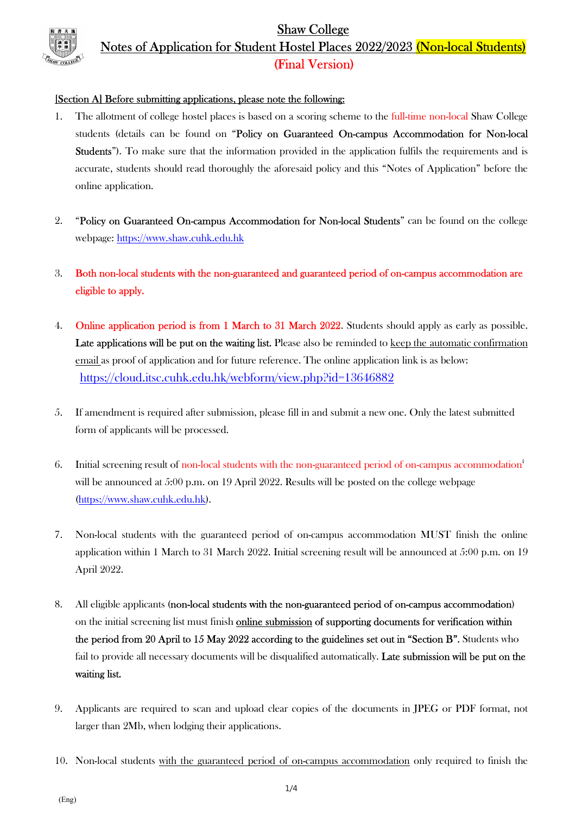Shaw College Notes of Application for Student Hostel Places 2022/2023 (Non-local Students) (Final Version)

#### [Section A] Before submitting applications, please note the following:

- 1. The allotment of college hostel places is based on a scoring scheme to the full-time non-local Shaw College students (details can be found on "Policy on Guaranteed On-campus Accommodation for Non-local Students"). To make sure that the information provided in the application fulfils the requirements and is accurate, students should read thoroughly the aforesaid policy and this "Notes of Application" before the online application.
- 2. "Policy on Guaranteed On-campus Accommodation for Non-local Students" can be found on the college webpage: https://www.shaw.cuhk.edu.hk
- 3. Both non-local students with the non-guaranteed and guaranteed period of on-campus accommodation are eligible to apply.
- 4. **Online application period is from 1 March to 31 March 2022.** Students should apply as early as possible. Late applications will be put on the waiting list. Please also be reminded to keep the automatic confirmation email as proof of application and for future reference. The online application link is as below: https://cloud.itsc.cuhk.edu.hk/webform/view.php?id=13646882
- 5. If amendment is required after submission, please fill in and submit a new one. Only the latest submitted form of applicants will be processed.
- 6. Initial screening result of non-local students with the non-guaranteed period of on-campus accommodation<sup>i</sup> will be announced at 5:00 p.m. on 19 April 2022. Results will be posted on the college webpage (https://www.shaw.cuhk.edu.hk).
- 7. Non-local students with the guaranteed period of on-campus accommodation MUST finish the online application within 1 March to 31 March 2022. Initial screening result will be announced at 5:00 p.m. on 19 April 2022.
- 8. All eligible applicants (non-local students with the non-guaranteed period of on-campus accommodation) on the initial screening list must finish online submission of supporting documents for verification within the period from 20 April to 15 May 2022 according to the guidelines set out in "Section B". Students who fail to provide all necessary documents will be disqualified automatically. Late submission will be put on the waiting list.
- 9. Applicants are required to scan and upload clear copies of the documents in JPEG or PDF format, not larger than 2Mb, when lodging their applications.
- 10. Non-local students with the guaranteed period of on-campus accommodation only required to finish the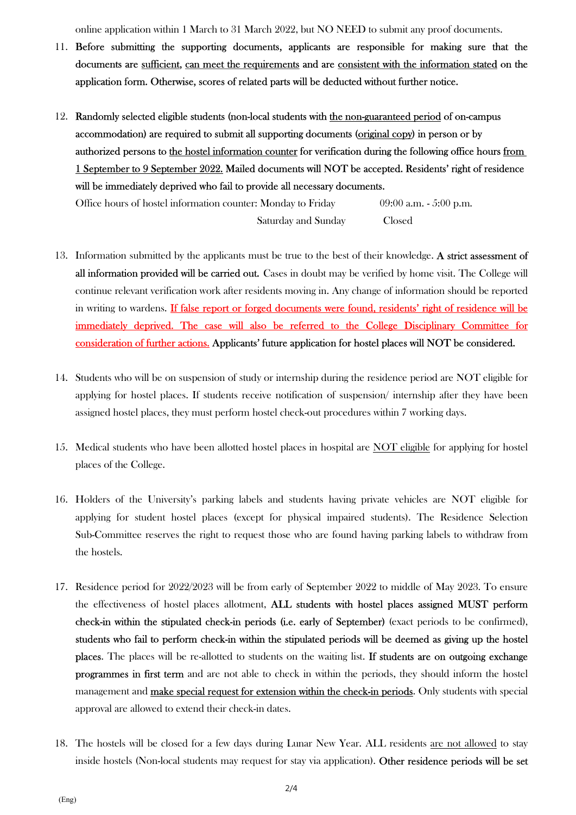online application within 1 March to 31 March 2022, but NO NEED to submit any proof documents.

- 11. Before submitting the supporting documents, applicants are responsible for making sure that the documents are sufficient, can meet the requirements and are consistent with the information stated on the application form. Otherwise, scores of related parts will be deducted without further notice.
- 12. Randomly selected eligible students (non-local students with the non-guaranteed period of on-campus accommodation) are required to submit all supporting documents (original copy) in person or by authorized persons to the hostel information counter for verification during the following office hours from 1 September to 9 September 2022. Mailed documents will NOT be accepted. Residents' right of residence will be immediately deprived who fail to provide all necessary documents.

Office hours of hostel information counter: Monday to Friday 09:00 a.m. - 5:00 p.m. Saturday and Sunday Closed

- 13. Information submitted by the applicants must be true to the best of their knowledge. A strict assessment of all information provided will be carried out. Cases in doubt may be verified by home visit. The College will continue relevant verification work after residents moving in. Any change of information should be reported in writing to wardens. If false report or forged documents were found, residents' right of residence will be immediately deprived. The case will also be referred to the College Disciplinary Committee for consideration of further actions. Applicants' future application for hostel places will NOT be considered.
- 14. Students who will be on suspension of study or internship during the residence period are NOT eligible for applying for hostel places. If students receive notification of suspension/ internship after they have been assigned hostel places, they must perform hostel check-out procedures within 7 working days.
- 15. Medical students who have been allotted hostel places in hospital are NOT eligible for applying for hostel places of the College.
- 16. Holders of the University's parking labels and students having private vehicles are NOT eligible for applying for student hostel places (except for physical impaired students). The Residence Selection Sub-Committee reserves the right to request those who are found having parking labels to withdraw from the hostels.
- 17. Residence period for 2022/2023 will be from early of September 2022 to middle of May 2023. To ensure the effectiveness of hostel places allotment, ALL students with hostel places assigned MUST perform check-in within the stipulated check-in periods (i.e. early of September) (exact periods to be confirmed), students who fail to perform check-in within the stipulated periods will be deemed as giving up the hostel places. The places will be re-allotted to students on the waiting list. If students are on outgoing exchange programmes in first term and are not able to check in within the periods, they should inform the hostel management and make special request for extension within the check-in periods. Only students with special approval are allowed to extend their check-in dates.
- 18. The hostels will be closed for a few days during Lunar New Year. ALL residents are not allowed to stay inside hostels (Non-local students may request for stay via application). Other residence periods will be set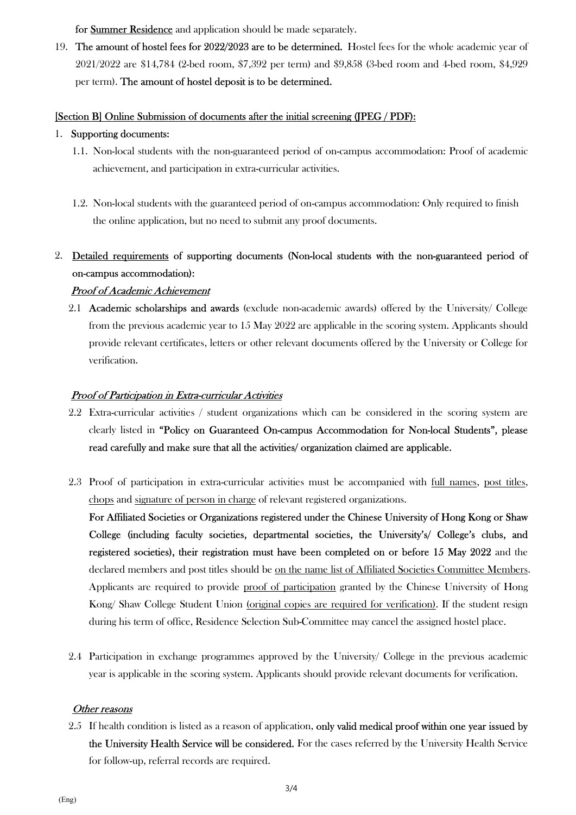for Summer Residence and application should be made separately.

19. The amount of hostel fees for 2022/2023 are to be determined. Hostel fees for the whole academic year of 2021/2022 are \$14,784 (2-bed room, \$7,392 per term) and \$9,858 (3-bed room and 4-bed room, \$4,929 per term). The amount of hostel deposit is to be determined.

### [Section B] Online Submission of documents after the initial screening (JPEG / PDF):

#### 1. Supporting documents:

- 1.1. Non-local students with the non-guaranteed period of on-campus accommodation: Proof of academic achievement, and participation in extra-curricular activities.
- 1.2. Non-local students with the guaranteed period of on-campus accommodation: Only required to finish the online application, but no need to submit any proof documents.

# 2. Detailed requirements of supporting documents (Non-local students with the non-guaranteed period of on-campus accommodation):

#### Proof of Academic Achievement

2.1 Academic scholarships and awards (exclude non-academic awards) offered by the University/ College from the previous academic year to 15 May 2022 are applicable in the scoring system. Applicants should provide relevant certificates, letters or other relevant documents offered by the University or College for verification.

#### Proof of Participation in Extra-curricular Activities

- 2.2 Extra-curricular activities / student organizations which can be considered in the scoring system are clearly listed in "Policy on Guaranteed On-campus Accommodation for Non-local Students", please read carefully and make sure that all the activities/ organization claimed are applicable.
- 2.3 Proof of participation in extra-curricular activities must be accompanied with full names, post titles, chops and signature of person in charge of relevant registered organizations.

For Affiliated Societies or Organizations registered under the Chinese University of Hong Kong or Shaw College (including faculty societies, departmental societies, the University's/ College's clubs, and registered societies), their registration must have been completed on or before 15 May 2022 and the declared members and post titles should be on the name list of Affiliated Societies Committee Members. Applicants are required to provide proof of participation granted by the Chinese University of Hong Kong/ Shaw College Student Union (original copies are required for verification). If the student resign during his term of office, Residence Selection Sub-Committee may cancel the assigned hostel place.

2.4 Participation in exchange programmes approved by the University/ College in the previous academic year is applicable in the scoring system. Applicants should provide relevant documents for verification.

#### Other reasons

2.5 If health condition is listed as a reason of application, only valid medical proof within one year issued by the University Health Service will be considered. For the cases referred by the University Health Service for follow-up, referral records are required.